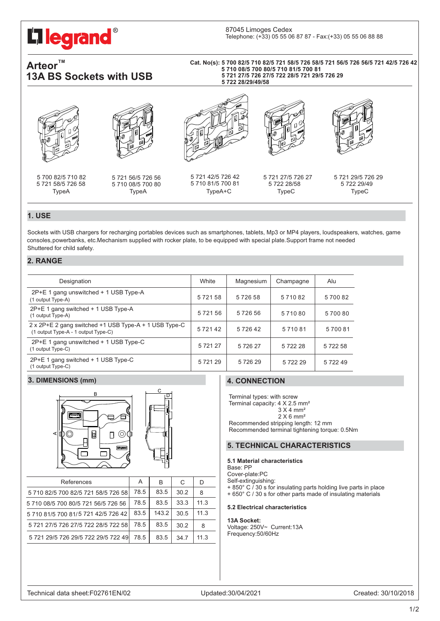# **Ilegrand**®

# Arteor **13A BS Sockets with USB**

#### **5 710 08/5 700 80/ 5 710 81/5 700 81 Cat. No(s): 5 700 82/5 710 82/5 721 58/5 726 58/5 721 56/5 726 56/5 721 42/5 726 42 5 721 27/5 726 27/5 722 28/5 721 29/5 726 29 5 722 28/29/49/58**





5 721 58/5 726 58 5 700 82/5 710 82

5 721 56/5 726 56 5 710 08/5 700 80



TypeA TypeA TypeA+C TypeC TypeC 5 721 42/5 726 42 5 710 81/5 700 81



5 721 27/5 726 27 5 722 28/58

5 721 29/5 726 29 5 722 29/49

# **1. USE**

Sockets with USB chargers for recharging portables devices such as smartphones, tablets, Mp3 or MP4 players, loudspeakers, watches, game consoles, powerbanks, etc.Mechanism supplied with rocker plate, to be equipped with special plate.Support frame not needed Shuttered for child safety.

### **2. RANGE**

| Designation                                                                                  | White       | Magnesium | Champagne | Alu    |
|----------------------------------------------------------------------------------------------|-------------|-----------|-----------|--------|
| 2P+E 1 gang unswitched + 1 USB Type-A<br>(1 output Type-A)                                   | 572158      | 572658    | 571082    | 570082 |
| 2P+E 1 gang switched + 1 USB Type-A<br>(1 output Type-A)                                     | 572156      | 572656    | 571080    | 570080 |
| 2 x 2P+E 2 gang switched +1 USB Type-A + 1 USB Type-C<br>(1 output Type-A - 1 output Type-C) | 572142      | 572642    | 571081    | 570081 |
| 2P+E 1 gang unswitched + 1 USB Type-C<br>(1 output Type-C)                                   | 5 7 2 1 2 7 | 572627    | 572228    | 572258 |
| 2P+E 1 gang switched + 1 USB Type-C<br>(1 output Type-C)                                     | 572129      | 572629    | 572229    | 572249 |

## **3. DIMENSIONS (mm)**





| References                          | A    | В     | C    | D    |
|-------------------------------------|------|-------|------|------|
| 5 710 82/5 700 82/5 721 58/5 726 58 | 78.5 | 83.5  | 30.2 | 8    |
| 5 710 08/5 700 80/5 721 56/5 726 56 | 78.5 | 83.5  | 33.3 | 11.3 |
| 5 710 81/5 700 81/5 721 42/5 726 42 | 83.5 | 143.2 | 30.5 | 11.3 |
| 5 721 27/5 726 27/5 722 28/5 722 58 | 78.5 | 83.5  | 30.2 | 8    |
| 5 721 29/5 726 29/5 722 29/5 722 49 | 78.5 | 83.5  | 34.7 | 11.3 |

# **4. CONNECTION**

Terminal types: with screw Terminal capacity: 4 X 2.5 mm² 3 X 4 mm² 2 X 6 mm² Recommended stripping length: 12 mm Recommended terminal tightening torque: 0.5Nm <sup>A</sup>

#### **5. TECHNICAL CHARACTERISTICS**

#### **5.1 Material characteristics**

Base: PP

Cover-plate:PC Self-extinguishing:

- 
- + 850° C / 30 s for insulating parts holding live parts in place + 650° C / 30 s for other parts made of insulating materials

#### **5.2 Electrical characteristics**

#### **13A Socket:**

Voltage: 250V~ Current:13A Frequency:50/60Hz